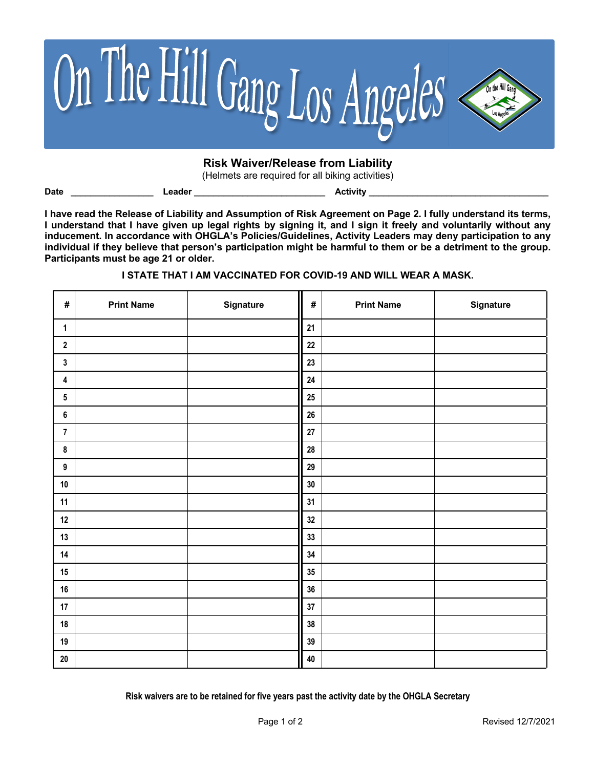

# **Risk Waiver/Release from Liability**

(Helmets are required for all biking activities)

**Date \_\_\_\_\_\_\_\_\_\_\_\_\_\_\_\_\_ Leader \_\_\_\_\_\_\_\_\_\_\_\_\_\_\_\_\_\_\_\_\_\_\_\_\_\_\_ Activity \_\_\_\_\_\_\_\_\_\_\_\_\_\_\_\_\_\_\_\_\_\_\_\_\_\_\_\_\_\_\_\_\_\_\_\_\_**

**I have read the Release of Liability and Assumption of Risk Agreement on Page 2. I fully understand its terms, I understand that I have given up legal rights by signing it, and I sign it freely and voluntarily without any inducement. In accordance with OHGLA's Policies/Guidelines, Activity Leaders may deny participation to any individual if they believe that person's participation might be harmful to them or be a detriment to the group. Participants must be age 21 or older.**

# **I STATE THAT I AM VACCINATED FOR COVID-19 AND WILL WEAR A MASK.**

| $\#$           | <b>Print Name</b> | Signature | $\pmb{\#}$ | <b>Print Name</b> | Signature |
|----------------|-------------------|-----------|------------|-------------------|-----------|
| $\mathbf{1}$   |                   |           | 21         |                   |           |
| $\mathbf 2$    |                   |           | 22         |                   |           |
| 3              |                   |           | 23         |                   |           |
| 4              |                   |           | ${\bf 24}$ |                   |           |
| 5              |                   |           | $25\,$     |                   |           |
| 6              |                   |           | 26         |                   |           |
| $\overline{7}$ |                   |           | 27         |                   |           |
| $\bf 8$        |                   |           | ${\bf 28}$ |                   |           |
| 9              |                   |           | 29         |                   |           |
| $10$           |                   |           | $30\,$     |                   |           |
| 11             |                   |           | 31         |                   |           |
| $12$           |                   |           | 32         |                   |           |
| 13             |                   |           | 33         |                   |           |
| 14             |                   |           | 34         |                   |           |
| 15             |                   |           | $35\,$     |                   |           |
| 16             |                   |           | 36         |                   |           |
| 17             |                   |           | 37         |                   |           |
| 18             |                   |           | 38         |                   |           |
| 19             |                   |           | 39         |                   |           |
| $20\,$         |                   |           | 40         |                   |           |

**Risk waivers are to be retained for five years past the activity date by the OHGLA Secretary**